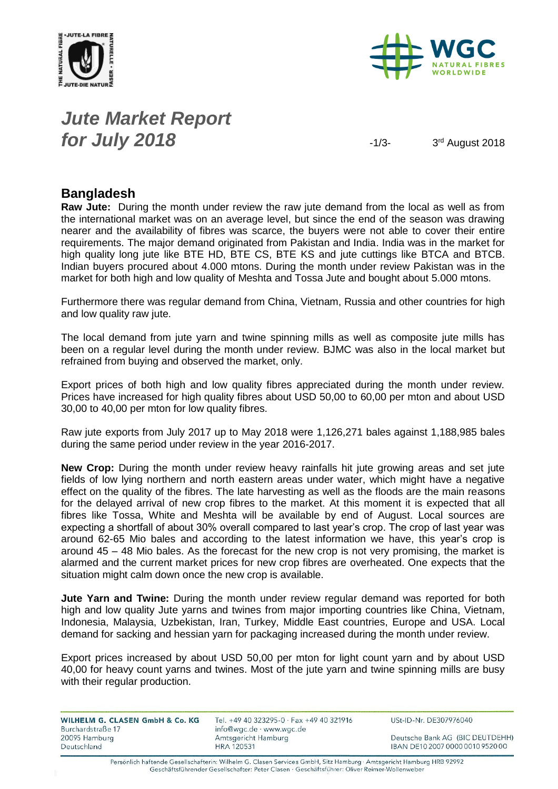



### *Jute Market Report for July 2018*  $\frac{1}{3}$

3rd August 2018

#### **Bangladesh**

**Raw Jute:** During the month under review the raw jute demand from the local as well as from the international market was on an average level, but since the end of the season was drawing nearer and the availability of fibres was scarce, the buyers were not able to cover their entire requirements. The major demand originated from Pakistan and India. India was in the market for high quality long jute like BTE HD, BTE CS, BTE KS and jute cuttings like BTCA and BTCB. Indian buyers procured about 4.000 mtons. During the month under review Pakistan was in the market for both high and low quality of Meshta and Tossa Jute and bought about 5.000 mtons.

Furthermore there was regular demand from China, Vietnam, Russia and other countries for high and low quality raw jute.

The local demand from jute yarn and twine spinning mills as well as composite jute mills has been on a regular level during the month under review. BJMC was also in the local market but refrained from buying and observed the market, only.

Export prices of both high and low quality fibres appreciated during the month under review. Prices have increased for high quality fibres about USD 50,00 to 60,00 per mton and about USD 30,00 to 40,00 per mton for low quality fibres.

Raw jute exports from July 2017 up to May 2018 were 1,126,271 bales against 1,188,985 bales during the same period under review in the year 2016-2017.

**New Crop:** During the month under review heavy rainfalls hit jute growing areas and set jute fields of low lying northern and north eastern areas under water, which might have a negative effect on the quality of the fibres. The late harvesting as well as the floods are the main reasons for the delayed arrival of new crop fibres to the market. At this moment it is expected that all fibres like Tossa, White and Meshta will be available by end of August. Local sources are expecting a shortfall of about 30% overall compared to last year's crop. The crop of last year was around 62-65 Mio bales and according to the latest information we have, this year's crop is around 45 – 48 Mio bales. As the forecast for the new crop is not very promising, the market is alarmed and the current market prices for new crop fibres are overheated. One expects that the situation might calm down once the new crop is available.

**Jute Yarn and Twine:** During the month under review regular demand was reported for both high and low quality Jute yarns and twines from major importing countries like China, Vietnam, Indonesia, Malaysia, Uzbekistan, Iran, Turkey, Middle East countries, Europe and USA. Local demand for sacking and hessian yarn for packaging increased during the month under review.

Export prices increased by about USD 50,00 per mton for light count yarn and by about USD 40,00 for heavy count yarns and twines. Most of the jute yarn and twine spinning mills are busy with their regular production.

| WILHELM G. CLASEN GmbH & Co. KG<br>Burchardstraße 17 | Tel. +49 40 323295-0 $\cdot$ Fax +49 40 321916<br>info@wgc.de · www.wgc.de | USt-ID-Nr. DE307976040           |
|------------------------------------------------------|----------------------------------------------------------------------------|----------------------------------|
| 20095 Hamburg                                        | Amtsgericht Hamburg                                                        | Deutsche Bank AG (BIC DEUTDEHH)  |
| Deutschland                                          | <b>HRA 120531</b>                                                          | IBAN DE10 2007 0000 0010 9520 00 |

Persönlich haftende Gesellschafterin: Wilhelm G. Clasen Services GmbH, Sitz Hamburg · Amtsgericht Hamburg HRB 92992 Geschäftsführender Gesellschafter: Peter Clasen · Geschäftsführer: Oliver Reimer-Wollenweber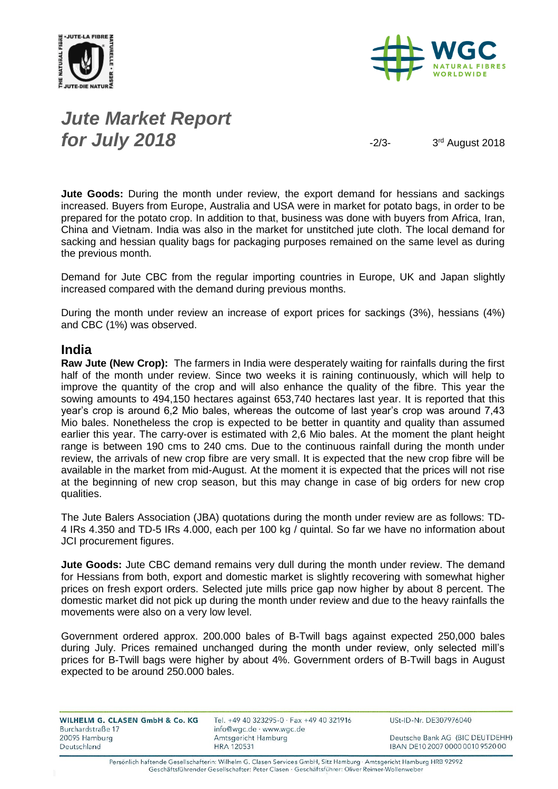



# *Jute Market Report for July 2018*  $\frac{1}{2}$

3rd August 2018

**Jute Goods:** During the month under review, the export demand for hessians and sackings increased. Buyers from Europe, Australia and USA were in market for potato bags, in order to be prepared for the potato crop. In addition to that, business was done with buyers from Africa, Iran, China and Vietnam. India was also in the market for unstitched jute cloth. The local demand for sacking and hessian quality bags for packaging purposes remained on the same level as during the previous month.

Demand for Jute CBC from the regular importing countries in Europe, UK and Japan slightly increased compared with the demand during previous months.

During the month under review an increase of export prices for sackings (3%), hessians (4%) and CBC (1%) was observed.

#### **India**

**Raw Jute (New Crop):** The farmers in India were desperately waiting for rainfalls during the first half of the month under review. Since two weeks it is raining continuously, which will help to improve the quantity of the crop and will also enhance the quality of the fibre. This year the sowing amounts to 494,150 hectares against 653,740 hectares last year. It is reported that this year's crop is around 6,2 Mio bales, whereas the outcome of last year's crop was around 7,43 Mio bales. Nonetheless the crop is expected to be better in quantity and quality than assumed earlier this year. The carry-over is estimated with 2,6 Mio bales. At the moment the plant height range is between 190 cms to 240 cms. Due to the continuous rainfall during the month under review, the arrivals of new crop fibre are very small. It is expected that the new crop fibre will be available in the market from mid-August. At the moment it is expected that the prices will not rise at the beginning of new crop season, but this may change in case of big orders for new crop qualities.

The Jute Balers Association (JBA) quotations during the month under review are as follows: TD-4 IRs 4.350 and TD-5 IRs 4.000, each per 100 kg / quintal. So far we have no information about JCI procurement figures.

**Jute Goods:** Jute CBC demand remains very dull during the month under review. The demand for Hessians from both, export and domestic market is slightly recovering with somewhat higher prices on fresh export orders. Selected jute mills price gap now higher by about 8 percent. The domestic market did not pick up during the month under review and due to the heavy rainfalls the movements were also on a very low level.

Government ordered approx. 200.000 bales of B-Twill bags against expected 250,000 bales during July. Prices remained unchanged during the month under review, only selected mill's prices for B-Twill bags were higher by about 4%. Government orders of B-Twill bags in August expected to be around 250.000 bales.

| WILHELM G. CLASEN GmbH & Co. KG<br>Burchardstraße 17 | Tel. +49 40 323295-0 · Fax +49 40 321916<br>info@wgc.de · www.wgc.de | USt-ID-Nr. DE307976040           |
|------------------------------------------------------|----------------------------------------------------------------------|----------------------------------|
| 20095 Hamburg                                        | Amtsgericht Hamburg                                                  | Deutsche Bank AG (BIC DEUTDEHH)  |
| Deutschland                                          | <b>HRA 120531</b>                                                    | IBAN DE10 2007 0000 0010 9520 00 |

Persönlich haftende Gesellschafterin: Wilhelm G. Clasen Services GmbH, Sitz Hamburg · Amtsgericht Hamburg HRB 92992 Geschäftsführender Gesellschafter: Peter Clasen · Geschäftsführer: Oliver Reimer-Wollenweber